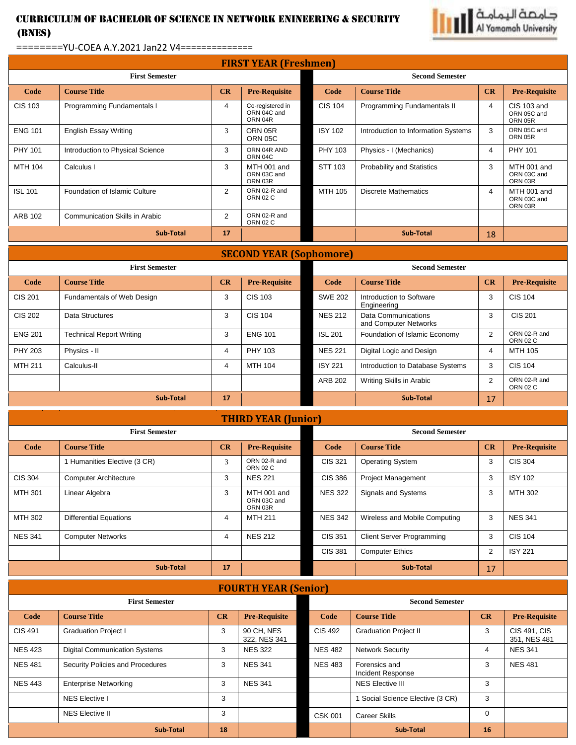## Curriculum of Bachelor of Science in NETWORK ENINEERING & SECURITY (BNES)



## ========YU-COEA A.Y.2021 Jan22 V4==============

| <b>FIRST YEAR (Freshmen)</b>   |                                       |        |                                            |                        |                                              |    |                                       |  |
|--------------------------------|---------------------------------------|--------|--------------------------------------------|------------------------|----------------------------------------------|----|---------------------------------------|--|
| <b>First Semester</b>          |                                       |        |                                            | <b>Second Semester</b> |                                              |    |                                       |  |
| Code                           | <b>Course Title</b>                   | CR     | <b>Pre-Requisite</b>                       | Code                   | <b>Course Title</b>                          | CR | <b>Pre-Requisite</b>                  |  |
| <b>CIS 103</b>                 | Programming Fundamentals I            | 4      | Co-registered in<br>ORN 04C and<br>ORN 04R | <b>CIS 104</b>         | Programming Fundamentals II                  | 4  | CIS 103 and<br>ORN 05C and<br>ORN 05R |  |
| <b>ENG 101</b>                 | <b>English Essay Writing</b>          | 3      | ORN 05R<br><b>ORN 05C</b>                  | <b>ISY 102</b>         | Introduction to Information Systems          | 3  | ORN 05C and<br>ORN 05R                |  |
| PHY 101                        | Introduction to Physical Science      | 3      | ORN 04R AND<br>ORN 04C                     | PHY 103                | Physics - I (Mechanics)                      | 4  | <b>PHY 101</b>                        |  |
| <b>MTH 104</b>                 | Calculus I                            | 3      | MTH 001 and<br>ORN 03C and<br>ORN 03R      | STT 103                | Probability and Statistics                   | 3  | MTH 001 and<br>ORN 03C and<br>ORN 03R |  |
| <b>ISL 101</b>                 | Foundation of Islamic Culture         | 2      | ORN 02-R and<br><b>ORN 02 C</b>            | MTH 105                | <b>Discrete Mathematics</b>                  | 4  | MTH 001 and<br>ORN 03C and<br>ORN 03R |  |
| <b>ARB 102</b>                 | <b>Communication Skills in Arabic</b> | 2      | ORN 02-R and<br><b>ORN 02 C</b>            |                        |                                              |    |                                       |  |
| <b>Sub-Total</b><br>17         |                                       |        |                                            |                        | <b>Sub-Total</b>                             | 18 |                                       |  |
| <b>SECOND YEAR (Sophomore)</b> |                                       |        |                                            |                        |                                              |    |                                       |  |
| <b>First Semester</b>          |                                       |        | <b>Second Semester</b>                     |                        |                                              |    |                                       |  |
| Code                           | <b>Course Title</b>                   | CR     | <b>Pre-Requisite</b>                       | Code                   | <b>Course Title</b>                          | CR | <b>Pre-Requisite</b>                  |  |
| <b>CIS 201</b>                 | Fundamentals of Web Design            | 3      | <b>CIS 103</b>                             | <b>SWE 202</b>         | Introduction to Software<br>Engineering      | 3  | <b>CIS 104</b>                        |  |
| <b>CIS 202</b>                 | Data Structures                       | 3      | <b>CIS 104</b>                             | <b>NES 212</b>         | Data Communications<br>and Computer Networks | 3  | <b>CIS 201</b>                        |  |
| $-110$ $-21$                   |                                       | $\sim$ | $-112.12$                                  | $\sim$                 |                                              |    | ODHOP.                                |  |

| <b>ENG 201</b> | <b>Technical Report Writing</b> |    | <b>ENG 101</b> | <b>ISL 201</b> | Foundation of Islamic Economy    |    | ORN 02-R and<br>ORN 02 C |
|----------------|---------------------------------|----|----------------|----------------|----------------------------------|----|--------------------------|
| <b>PHY 203</b> | Physics - II                    |    | PHY 103        | <b>NES 221</b> | Digital Logic and Design         |    | MTH 105                  |
| <b>MTH 211</b> | Calculus-II                     |    | MTH 104        | <b>ISY 221</b> | Introduction to Database Systems |    | <b>CIS 104</b>           |
|                |                                 |    |                | ARB 202        | Writing Skills in Arabic         |    | ORN 02-R and<br>ORN 02 C |
|                | <b>Sub-Total</b>                | 17 |                |                | Sub-Total                        | 17 |                          |

## **THIRD YEAR (Junior)**

| <b>First Semester</b> |                               |    |                                       | <b>Second Semester</b> |                                  |    |                      |
|-----------------------|-------------------------------|----|---------------------------------------|------------------------|----------------------------------|----|----------------------|
| Code                  | <b>Course Title</b>           | CR | <b>Pre-Requisite</b>                  | Code                   | <b>Course Title</b>              | CR | <b>Pre-Requisite</b> |
|                       | 1 Humanities Elective (3 CR)  | 3  | ORN 02-R and<br><b>ORN 02 C</b>       | CIS 321                | <b>Operating System</b>          | 3  | <b>CIS 304</b>       |
| <b>CIS 304</b>        | <b>Computer Architecture</b>  | 3  | <b>NES 221</b>                        | <b>CIS 386</b>         | <b>Project Management</b>        | 3  | <b>ISY 102</b>       |
| MTH 301               | Linear Algebra                | 3  | MTH 001 and<br>ORN 03C and<br>ORN 03R | <b>NES 322</b>         | Signals and Systems              | 3  | MTH 302              |
| MTH 302               | <b>Differential Equations</b> | 4  | <b>MTH 211</b>                        | <b>NES 342</b>         | Wireless and Mobile Computing    | 3  | <b>NES 341</b>       |
| <b>NES 341</b>        | <b>Computer Networks</b>      | 4  | <b>NES 212</b>                        | CIS 351                | <b>Client Server Programming</b> | 3  | <b>CIS 104</b>       |
|                       |                               |    |                                       | CIS 381                | <b>Computer Ethics</b>           | 2  | <b>ISY 221</b>       |
| <b>Sub-Total</b>      |                               | 17 |                                       |                        | <b>Sub-Total</b>                 | 17 |                      |

## **FOURTH YEAR (Senior)**

| <b>First Semester</b> |                                      |    |                            | <b>Second Semester</b>                    |                                    |          |                                     |  |
|-----------------------|--------------------------------------|----|----------------------------|-------------------------------------------|------------------------------------|----------|-------------------------------------|--|
| Code                  | <b>Course Title</b>                  | CR | <b>Pre-Requisite</b>       | Code                                      | <b>Course Title</b>                | CR       | <b>Pre-Requisite</b>                |  |
| <b>CIS 491</b>        | <b>Graduation Project I</b>          | 3  | 90 CH, NES<br>322. NES 341 | <b>CIS 492</b>                            | <b>Graduation Project II</b>       | 3        | <b>CIS 491, CIS</b><br>351, NES 481 |  |
| <b>NES 423</b>        | <b>Digital Communication Systems</b> | 3  | <b>NES 322</b>             | <b>NES 482</b><br><b>Network Security</b> |                                    | 4        | <b>NES 341</b>                      |  |
| <b>NES 481</b>        | Security Policies and Procedures     | 3  | <b>NES 341</b>             | <b>NES 483</b>                            | Forensics and<br>Incident Response | 3        | <b>NES 481</b>                      |  |
| <b>NES 443</b>        | <b>Enterprise Networking</b>         | 3  | <b>NES 341</b>             |                                           | <b>NES Elective III</b>            | 3        |                                     |  |
|                       | <b>NES Elective I</b>                | 3  |                            |                                           | Social Science Elective (3 CR)     | 3        |                                     |  |
|                       | <b>NES Elective II</b>               | 3  |                            | <b>CSK 001</b>                            | <b>Career Skills</b>               | $\Omega$ |                                     |  |
| <b>Sub-Total</b>      |                                      | 18 |                            |                                           | <b>Sub-Total</b>                   |          |                                     |  |